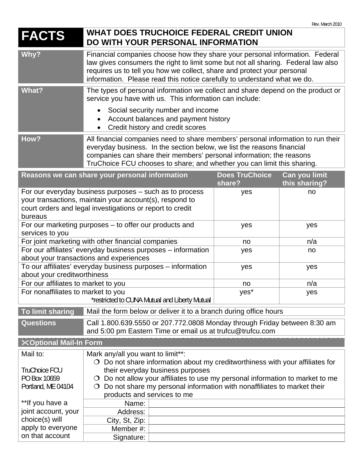## **FACTS** WHAT DOES TRUCHOICE FEDERAL CREDIT UNION **DO WITH YOUR PERSONAL INFORMATION**

| Why?  | Financial companies choose how they share your personal information. Federal<br>law gives consumers the right to limit some but not all sharing. Federal law also<br>requires us to tell you how we collect, share and protect your personal<br>information. Please read this notice carefully to understand what we do. |
|-------|--------------------------------------------------------------------------------------------------------------------------------------------------------------------------------------------------------------------------------------------------------------------------------------------------------------------------|
| What? | The types of personal information we collect and share depend on the product or<br>service you have with us. This information can include:                                                                                                                                                                               |
|       | Social security number and income<br>$\bullet$<br>Account balances and payment history<br>$\bullet$<br>• Credit history and credit scores                                                                                                                                                                                |

## How? **All financial companies need to share members' personal information to run their** everyday business. In the section below, we list the reasons financial companies can share their members' personal information; the reasons TruChoice FCU chooses to share; and whether you can limit this sharing.

|                                      | Reasons we can share your personal information                                                                           | <b>Does TruChoice</b> | Can you limit |
|--------------------------------------|--------------------------------------------------------------------------------------------------------------------------|-----------------------|---------------|
|                                      |                                                                                                                          | share?                | this sharing? |
|                                      | For our everyday business purposes - such as to process                                                                  | yes                   | no            |
|                                      | your transactions, maintain your account(s), respond to                                                                  |                       |               |
|                                      | court orders and legal investigations or report to credit                                                                |                       |               |
| bureaus                              |                                                                                                                          |                       |               |
|                                      | For our marketing purposes - to offer our products and                                                                   | yes                   | yes           |
| services to you                      |                                                                                                                          |                       |               |
|                                      | For joint marketing with other financial companies                                                                       | no                    | n/a           |
|                                      | For our affiliates' everyday business purposes - information                                                             | yes                   | no            |
|                                      | about your transactions and experiences                                                                                  |                       |               |
|                                      | To our affiliates' everyday business purposes - information                                                              | yes                   | yes           |
| about your creditworthiness          |                                                                                                                          |                       | n/a           |
| For our affiliates to market to you  |                                                                                                                          | no                    |               |
| For nonaffiliates to market to you   |                                                                                                                          | yes*                  | yes           |
|                                      | *restricted to CUNA Mutual and Liberty Mutual                                                                            |                       |               |
|                                      | Mail the form below or deliver it to a branch during office hours                                                        |                       |               |
| To limit sharing                     |                                                                                                                          |                       |               |
| <b>Questions</b>                     | Call 1.800.639.5550 or 207.772.0808 Monday through Friday between 8:30 am                                                |                       |               |
|                                      | and 5:00 pm Eastern Time or email us at trufcu@trufcu.com                                                                |                       |               |
| <b>XOptional Mail-In Form</b>        |                                                                                                                          |                       |               |
| Mail to:                             |                                                                                                                          |                       |               |
|                                      | Mark any/all you want to limit**:<br>$\circ$ Do not share information about my creditworthiness with your affiliates for |                       |               |
| <b>TruChoice FCU</b>                 | their everyday business purposes                                                                                         |                       |               |
| PO Box 10659                         | $\circ$ Do not allow your affiliates to use my personal information to market to me                                      |                       |               |
| Portland, ME 04104                   | Do not share my personal information with nonaffiliates to market their                                                  |                       |               |
|                                      | products and services to me                                                                                              |                       |               |
| **If you have a                      | Name:                                                                                                                    |                       |               |
| joint account, your                  | Address:                                                                                                                 |                       |               |
| choice(s) will                       | City, St, Zip:                                                                                                           |                       |               |
| apply to everyone<br>on that account | Member#:                                                                                                                 |                       |               |